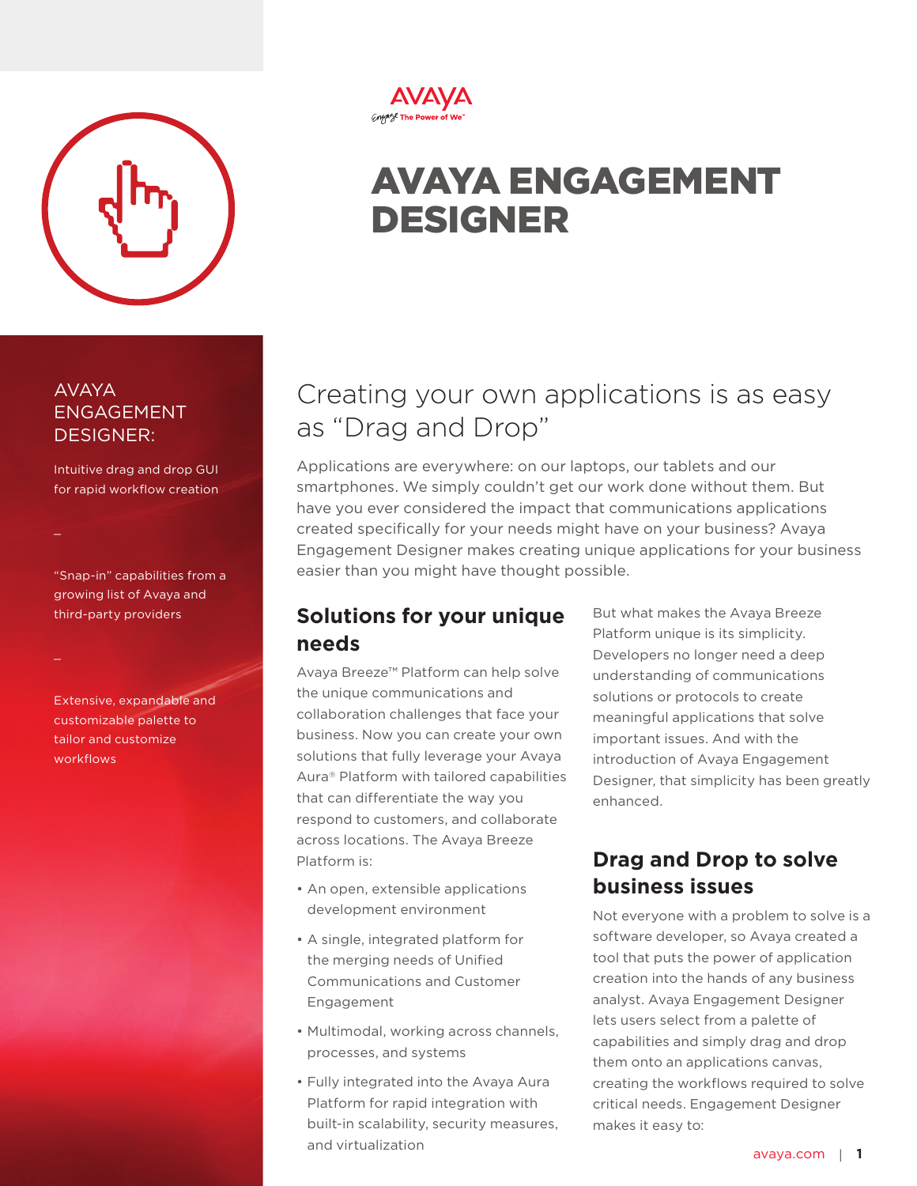

AVAYA

 $\mathbb{R}^2$ 

 $\mathcal{L}$ 

workflows

ENGAGEMENT DESIGNER:

Intuitive drag and drop GUI for rapid workflow creation

"Snap-in" capabilities from a growing list of Avaya and third-party providers

Extensive, expandable and customizable palette to tailor and customize

#### **AVAYA** *Crigange* The Power of We

# AVAYA ENGAGEMENT DESIGNER

## Creating your own applications is as easy as "Drag and Drop"

Applications are everywhere: on our laptops, our tablets and our smartphones. We simply couldn't get our work done without them. But have you ever considered the impact that communications applications created specifically for your needs might have on your business? Avaya Engagement Designer makes creating unique applications for your business easier than you might have thought possible.

### **Solutions for your unique needs**

Avaya Breeze™ Platform can help solve the unique communications and collaboration challenges that face your business. Now you can create your own solutions that fully leverage your Avaya Aura® Platform with tailored capabilities that can differentiate the way you respond to customers, and collaborate across locations. The Avaya Breeze Platform is:

- An open, extensible applications development environment
- A single, integrated platform for the merging needs of Unified Communications and Customer Engagement
- Multimodal, working across channels, processes, and systems
- Fully integrated into the Avaya Aura Platform for rapid integration with built-in scalability, security measures, and virtualization

But what makes the Avaya Breeze Platform unique is its simplicity. Developers no longer need a deep understanding of communications solutions or protocols to create meaningful applications that solve important issues. And with the introduction of Avaya Engagement Designer, that simplicity has been greatly enhanced.

## **Drag and Drop to solve business issues**

Not everyone with a problem to solve is a software developer, so Avaya created a tool that puts the power of application creation into the hands of any business analyst. Avaya Engagement Designer lets users select from a palette of capabilities and simply drag and drop them onto an applications canvas, creating the workflows required to solve critical needs. Engagement Designer makes it easy to: